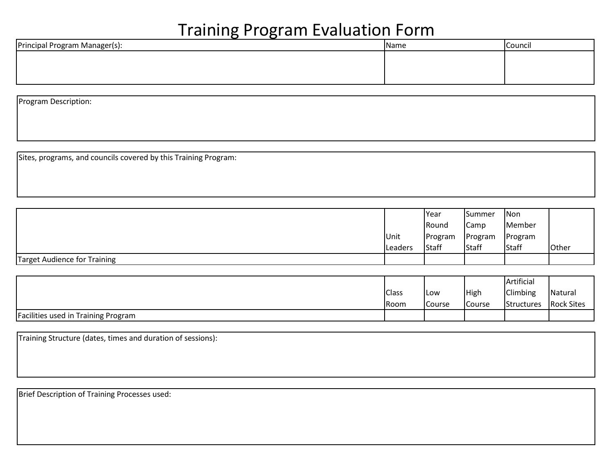| Principal Program Manager(s): | <b>Name</b> | <b>Council</b> |
|-------------------------------|-------------|----------------|
|                               |             |                |
|                               |             |                |
|                               |             |                |

Program Description:

Sites, programs, and councils covered by this Training Program:

|                              |                 | Year         | Summer  | Non     |       |
|------------------------------|-----------------|--------------|---------|---------|-------|
|                              |                 | <b>Round</b> | Camp    | Member  |       |
|                              | Unit            | Program      | Program | Program |       |
|                              | <b>ILeaders</b> | Staff        | Staff   | Staff   | Other |
| Target Audience for Training |                 |              |         |         |       |

|                                     |              |        |        | Artificial |                   |
|-------------------------------------|--------------|--------|--------|------------|-------------------|
|                                     | <b>Class</b> | ILow   | High   | Climbing   | Natural           |
|                                     | Room         | Course | Course | Structures | <b>Rock Sites</b> |
| Facilities used in Training Program |              |        |        |            |                   |

| Training Structure (dates, times and duration of sessions): |  |  |
|-------------------------------------------------------------|--|--|
|                                                             |  |  |
|                                                             |  |  |

Brief Description of Training Processes used: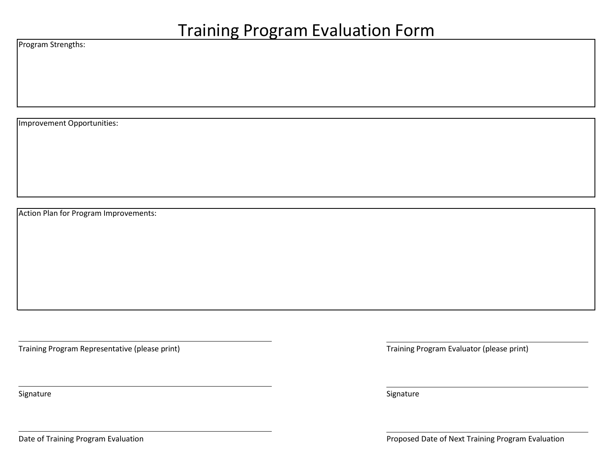Program Strengths:

Improvement Opportunities:

Action Plan for Program Improvements:

Training Program Representative (please print) Training Program Evaluator (please print)

Signature Signature Signature Signature Signature Signature Signature Signature Signature Signature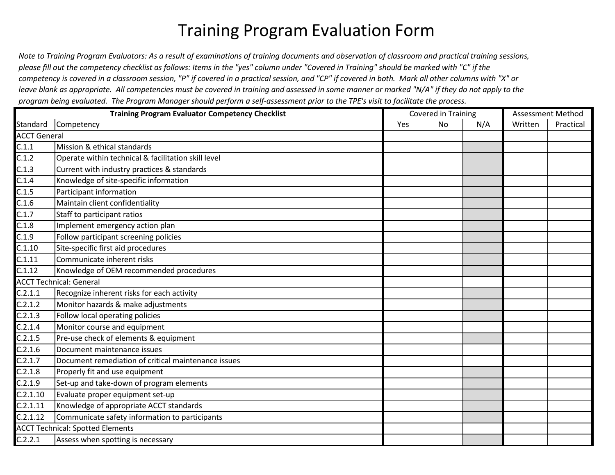Note to Training Program Evaluators: As a result of examinations of training documents and observation of classroom and practical training sessions, please fill out the competency checklist as follows: Items in the "yes" column under "Covered in Training" should be marked with "C" if the competency is covered in a classroom session, "P" if covered in a practical session, and "CP" if covered in both. Mark all other columns with "X" or leave blank as appropriate. All competencies must be covered in training and assessed in some manner or marked "N/A" if they do not apply to the *program being evaluated. The Program Manager should perform a self-assessment prior to the TPE's visit to facilitate the process.*

|                     | <b>Training Program Evaluator Competency Checklist</b> | Covered in Training |           |     | Assessment Method |           |
|---------------------|--------------------------------------------------------|---------------------|-----------|-----|-------------------|-----------|
| Standard            | Competency                                             | Yes                 | <b>No</b> | N/A | Written           | Practical |
| <b>ACCT General</b> |                                                        |                     |           |     |                   |           |
| C.1.1               | Mission & ethical standards                            |                     |           |     |                   |           |
| C.1.2               | Operate within technical & facilitation skill level    |                     |           |     |                   |           |
| C.1.3               | Current with industry practices & standards            |                     |           |     |                   |           |
| C.1.4               | Knowledge of site-specific information                 |                     |           |     |                   |           |
| C.1.5               | Participant information                                |                     |           |     |                   |           |
| $\overline{C.1.6}$  | Maintain client confidentiality                        |                     |           |     |                   |           |
| C.1.7               | Staff to participant ratios                            |                     |           |     |                   |           |
| C.1.8               | Implement emergency action plan                        |                     |           |     |                   |           |
| C.1.9               | Follow participant screening policies                  |                     |           |     |                   |           |
| C.1.10              | Site-specific first aid procedures                     |                     |           |     |                   |           |
| C.1.11              | Communicate inherent risks                             |                     |           |     |                   |           |
| $\overline{C.1.12}$ | Knowledge of OEM recommended procedures                |                     |           |     |                   |           |
|                     | <b>ACCT Technical: General</b>                         |                     |           |     |                   |           |
| C.2.1.1             | Recognize inherent risks for each activity             |                     |           |     |                   |           |
| C.2.1.2             | Monitor hazards & make adjustments                     |                     |           |     |                   |           |
| C.2.1.3             | Follow local operating policies                        |                     |           |     |                   |           |
| C.2.1.4             | Monitor course and equipment                           |                     |           |     |                   |           |
| C.2.1.5             | Pre-use check of elements & equipment                  |                     |           |     |                   |           |
| C.2.1.6             | Document maintenance issues                            |                     |           |     |                   |           |
| C.2.1.7             | Document remediation of critical maintenance issues    |                     |           |     |                   |           |
| C.2.1.8             | Properly fit and use equipment                         |                     |           |     |                   |           |
| C.2.1.9             | Set-up and take-down of program elements               |                     |           |     |                   |           |
| C.2.1.10            | Evaluate proper equipment set-up                       |                     |           |     |                   |           |
| C.2.1.11            | Knowledge of appropriate ACCT standards                |                     |           |     |                   |           |
| C.2.1.12            | Communicate safety information to participants         |                     |           |     |                   |           |
|                     | <b>ACCT Technical: Spotted Elements</b>                |                     |           |     |                   |           |
| C.2.2.1             | Assess when spotting is necessary                      |                     |           |     |                   |           |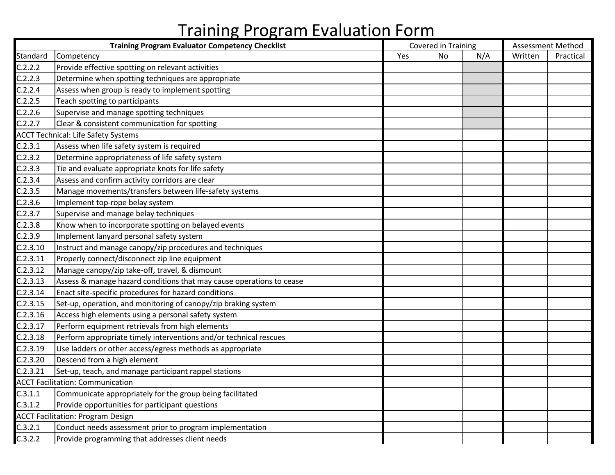|          | <b>Training Program Evaluator Competency Checklist</b>               |     | Covered in Training |     | Assessment Method |           |
|----------|----------------------------------------------------------------------|-----|---------------------|-----|-------------------|-----------|
| Standard | Competency                                                           | Yes | No                  | N/A | Written           | Practical |
| C.2.2.2  | Provide effective spotting on relevant activities                    |     |                     |     |                   |           |
| C.2.2.3  | Determine when spotting techniques are appropriate                   |     |                     |     |                   |           |
| C.2.2.4  | Assess when group is ready to implement spotting                     |     |                     |     |                   |           |
| C.2.2.5  | Teach spotting to participants                                       |     |                     |     |                   |           |
| C.2.2.6  | Supervise and manage spotting techniques                             |     |                     |     |                   |           |
| C.2.2.7  | Clear & consistent communication for spotting                        |     |                     |     |                   |           |
|          | <b>ACCT Technical: Life Safety Systems</b>                           |     |                     |     |                   |           |
| C.2.3.1  | Assess when life safety system is required                           |     |                     |     |                   |           |
| C.2.3.2  | Determine appropriateness of life safety system                      |     |                     |     |                   |           |
| C.2.3.3  | Tie and evaluate appropriate knots for life safety                   |     |                     |     |                   |           |
| C.2.3.4  | Assess and confirm activity corridors are clear                      |     |                     |     |                   |           |
| C.2.3.5  | Manage movements/transfers between life-safety systems               |     |                     |     |                   |           |
| C.2.3.6  | Implement top-rope belay system                                      |     |                     |     |                   |           |
| C.2.3.7  | Supervise and manage belay techniques                                |     |                     |     |                   |           |
| C.2.3.8  | Know when to incorporate spotting on belayed events                  |     |                     |     |                   |           |
| C.2.3.9  | Implement lanyard personal safety system                             |     |                     |     |                   |           |
| C.2.3.10 | Instruct and manage canopy/zip procedures and techniques             |     |                     |     |                   |           |
| C.2.3.11 | Properly connect/disconnect zip line equipment                       |     |                     |     |                   |           |
| C.2.3.12 | Manage canopy/zip take-off, travel, & dismount                       |     |                     |     |                   |           |
| C.2.3.13 | Assess & manage hazard conditions that may cause operations to cease |     |                     |     |                   |           |
| C.2.3.14 | Enact site-specific procedures for hazard conditions                 |     |                     |     |                   |           |
| C.2.3.15 | Set-up, operation, and monitoring of canopy/zip braking system       |     |                     |     |                   |           |
| C.2.3.16 | Access high elements using a personal safety system                  |     |                     |     |                   |           |
| C.2.3.17 | Perform equipment retrievals from high elements                      |     |                     |     |                   |           |
| C.2.3.18 | Perform appropriate timely interventions and/or technical rescues    |     |                     |     |                   |           |
| C.2.3.19 | Use ladders or other access/egress methods as appropriate            |     |                     |     |                   |           |
| C.2.3.20 | Descend from a high element                                          |     |                     |     |                   |           |
| C.2.3.21 | Set-up, teach, and manage participant rappel stations                |     |                     |     |                   |           |
|          | <b>ACCT Facilitation: Communication</b>                              |     |                     |     |                   |           |
| C.3.1.1  | Communicate appropriately for the group being facilitated            |     |                     |     |                   |           |
| C.3.1.2  | Provide opportunities for participant questions                      |     |                     |     |                   |           |
|          | <b>ACCT Facilitation: Program Design</b>                             |     |                     |     |                   |           |
| C.3.2.1  | Conduct needs assessment prior to program implementation             |     |                     |     |                   |           |
| C.3.2.2  | Provide programming that addresses client needs                      |     |                     |     |                   |           |